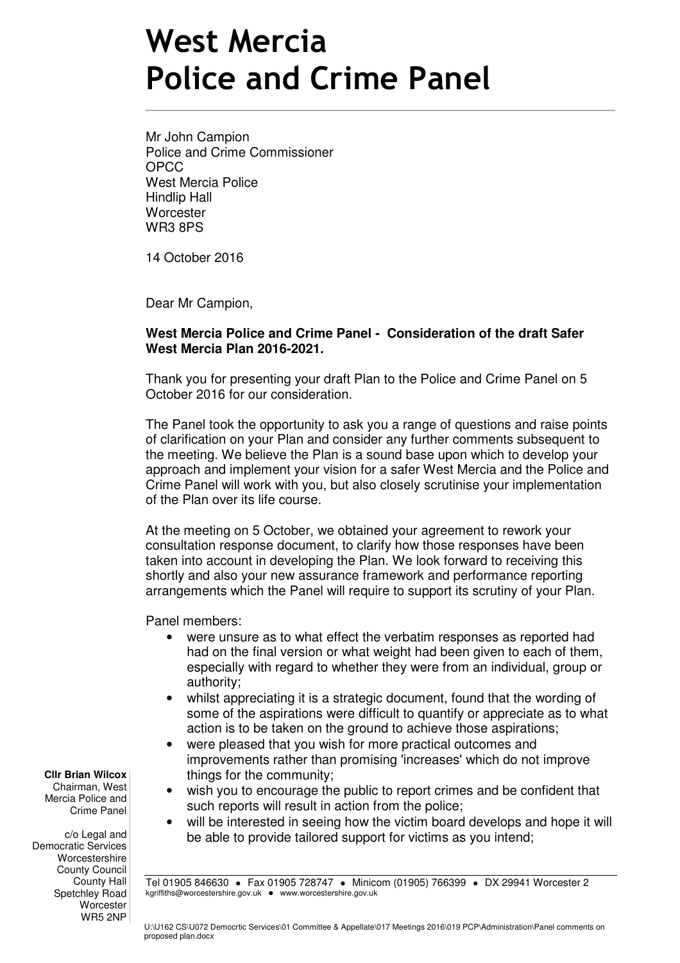## West Mercia Police and Crime Panel

Mr John Campion Police and Crime Commissioner OPCC West Mercia Police Hindlip Hall **Worcester** WR3 8PS

14 October 2016

Dear Mr Campion,

## **West Mercia Police and Crime Panel - Consideration of the draft Safer West Mercia Plan 2016-2021.**

Thank you for presenting your draft Plan to the Police and Crime Panel on 5 October 2016 for our consideration.

The Panel took the opportunity to ask you a range of questions and raise points of clarification on your Plan and consider any further comments subsequent to the meeting. We believe the Plan is a sound base upon which to develop your approach and implement your vision for a safer West Mercia and the Police and Crime Panel will work with you, but also closely scrutinise your implementation of the Plan over its life course.

At the meeting on 5 October, we obtained your agreement to rework your consultation response document, to clarify how those responses have been taken into account in developing the Plan. We look forward to receiving this shortly and also your new assurance framework and performance reporting arrangements which the Panel will require to support its scrutiny of your Plan.

Panel members:

- were unsure as to what effect the verbatim responses as reported had had on the final version or what weight had been given to each of them, especially with regard to whether they were from an individual, group or authority;
- whilst appreciating it is a strategic document, found that the wording of some of the aspirations were difficult to quantify or appreciate as to what action is to be taken on the ground to achieve those aspirations;
- were pleased that you wish for more practical outcomes and improvements rather than promising 'increases' which do not improve things for the community;
- wish you to encourage the public to report crimes and be confident that such reports will result in action from the police;
- will be interested in seeing how the victim board develops and hope it will be able to provide tailored support for victims as you intend;

Tel 01905 846630 · Fax 01905 728747 · Minicom (01905) 766399 · DX 29941 Worcester 2 kgriffiths@worcestershire.gov.uk • www.worcestershire.gov.uk

**Cllr Brian Wilcox**

Chairman, West Mercia Police and Crime Panel

c/o Legal and Democratic Services Worcestershire County Council County Hall Spetchley Road **Worcester** WR5 2NP